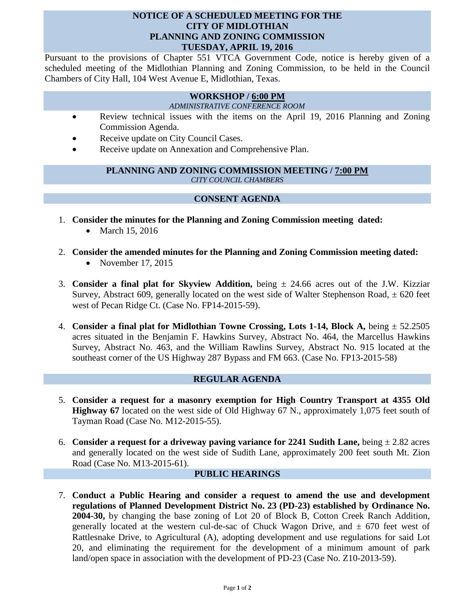### **NOTICE OF A SCHEDULED MEETING FOR THE CITY OF MIDLOTHIAN PLANNING AND ZONING COMMISSION TUESDAY, APRIL 19, 2016**

Pursuant to the provisions of Chapter 551 VTCA Government Code, notice is hereby given of a scheduled meeting of the Midlothian Planning and Zoning Commission, to be held in the Council Chambers of City Hall, 104 West Avenue E, Midlothian, Texas.

# **WORKSHOP / 6:00 PM**

### *ADMINISTRATIVE CONFERENCE ROOM*

- Review technical issues with the items on the April 19, 2016 Planning and Zoning Commission Agenda.
- Receive update on City Council Cases.
- Receive update on Annexation and Comprehensive Plan.

### **PLANNING AND ZONING COMMISSION MEETING / 7:00 PM** *CITY COUNCIL CHAMBERS*

# **CONSENT AGENDA**

- 1. **Consider the minutes for the Planning and Zoning Commission meeting dated:** 
	- March 15, 2016
- 2. **Consider the amended minutes for the Planning and Zoning Commission meeting dated:** • November 17, 2015
- 3. **Consider a final plat for Skyview Addition,** being ± 24.66 acres out of the J.W. Kizziar Survey, Abstract 609, generally located on the west side of Walter Stephenson Road,  $\pm$  620 feet west of Pecan Ridge Ct. (Case No. FP14-2015-59).
- 4. **Consider a final plat for Midlothian Towne Crossing, Lots 1-14, Block A,** being ± 52.2505 acres situated in the Benjamin F. Hawkins Survey, Abstract No. 464, the Marcellus Hawkins Survey, Abstract No. 463, and the William Rawlins Survey, Abstract No. 915 located at the southeast corner of the US Highway 287 Bypass and FM 663. (Case No. FP13-2015-58)

#### **REGULAR AGENDA**

- 5. **Consider a request for a masonry exemption for High Country Transport at 4355 Old Highway 67** located on the west side of Old Highway 67 N., approximately 1,075 feet south of Tayman Road (Case No. M12-2015-55).
- 6. **Consider a request for a driveway paving variance for 2241 Sudith Lane,** being  $\pm 2.82$  acres and generally located on the west side of Sudith Lane, approximately 200 feet south Mt. Zion Road (Case No. M13-2015-61).

## **PUBLIC HEARINGS**

7. **Conduct a Public Hearing and consider a request to amend the use and development regulations of Planned Development District No. 23 (PD-23) established by Ordinance No. 2004-30,** by changing the base zoning of Lot 20 of Block B, Cotton Creek Ranch Addition, generally located at the western cul-de-sac of Chuck Wagon Drive, and  $\pm$  670 feet west of Rattlesnake Drive, to Agricultural (A), adopting development and use regulations for said Lot 20, and eliminating the requirement for the development of a minimum amount of park land/open space in association with the development of PD-23 (Case No. Z10-2013-59).